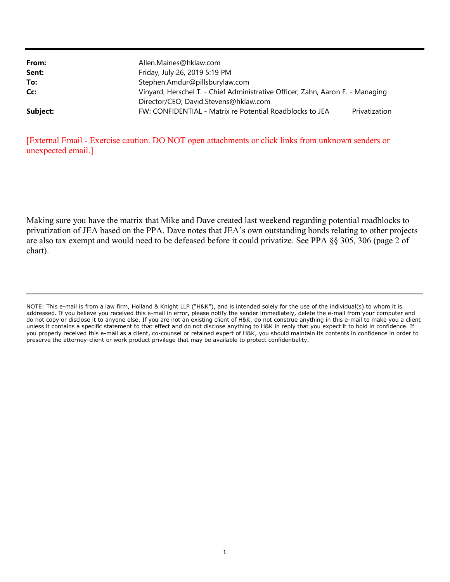| From:    | Allen.Maines@hklaw.com                                                         |               |
|----------|--------------------------------------------------------------------------------|---------------|
| Sent:    | Friday, July 26, 2019 5:19 PM                                                  |               |
| To:      | Stephen.Amdur@pillsburylaw.com                                                 |               |
| Cc:      | Vinyard, Herschel T. - Chief Administrative Officer; Zahn, Aaron F. - Managing |               |
|          | Director/CEO; David.Stevens@hklaw.com                                          |               |
| Subject: | FW: CONFIDENTIAL - Matrix re Potential Roadblocks to JEA                       | Privatization |

[External Email - Exercise caution. DO NOT open attachments or click links from unknown senders or unexpected email.]

Making sure you have the matrix that Mike and Dave created last weekend regarding potential roadblocks to privatization of JEA based on the PPA. Dave notes that JEA's own outstanding bonds relating to other projects are also tax exempt and would need to be defeased before it could privatize. See PPA §§ 305, 306 (page 2 of chart).

NOTE: This e-mail is from a law firm, Holland & Knight LLP ("H&K"), and is intended solely for the use of the individual(s) to whom it is addressed. If you believe you received this e-mail in error, please notify the sender immediately, delete the e-mail from your computer and do not copy or disclose it to anyone else. If you are not an existing client of H&K, do not construe anything in this e-mail to make you a client unless it contains a specific statement to that effect and do not disclose anything to H&K in reply that you expect it to hold in confidence. If you properly received this e-mail as a client, co-counsel or retained expert of H&K, you should maintain its contents in confidence in order to preserve the attorney-client or work product privilege that may be available to protect confidentiality.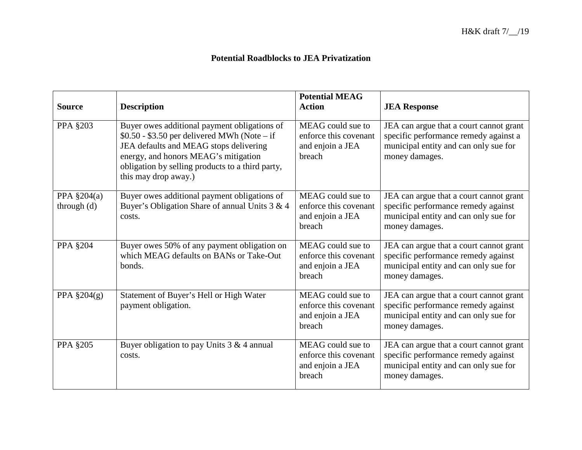## **Potential Roadblocks to JEA Privatization**

| <b>Source</b>                    | <b>Description</b>                                                                                                                                                                                                                                         | <b>Potential MEAG</b><br><b>Action</b>                                   | <b>JEA Response</b>                                                                                                                         |
|----------------------------------|------------------------------------------------------------------------------------------------------------------------------------------------------------------------------------------------------------------------------------------------------------|--------------------------------------------------------------------------|---------------------------------------------------------------------------------------------------------------------------------------------|
| <b>PPA §203</b>                  | Buyer owes additional payment obligations of<br>$$0.50 - $3.50$ per delivered MWh (Note – if<br>JEA defaults and MEAG stops delivering<br>energy, and honors MEAG's mitigation<br>obligation by selling products to a third party,<br>this may drop away.) | MEAG could sue to<br>enforce this covenant<br>and enjoin a JEA<br>breach | JEA can argue that a court cannot grant<br>specific performance remedy against a<br>municipal entity and can only sue for<br>money damages. |
| PPA $\S 204(a)$<br>through $(d)$ | Buyer owes additional payment obligations of<br>Buyer's Obligation Share of annual Units 3 & 4<br>costs.                                                                                                                                                   | MEAG could sue to<br>enforce this covenant<br>and enjoin a JEA<br>breach | JEA can argue that a court cannot grant<br>specific performance remedy against<br>municipal entity and can only sue for<br>money damages.   |
| <b>PPA §204</b>                  | Buyer owes 50% of any payment obligation on<br>which MEAG defaults on BANs or Take-Out<br>bonds.                                                                                                                                                           | MEAG could sue to<br>enforce this covenant<br>and enjoin a JEA<br>breach | JEA can argue that a court cannot grant<br>specific performance remedy against<br>municipal entity and can only sue for<br>money damages.   |
| PPA $\S 204(g)$                  | Statement of Buyer's Hell or High Water<br>payment obligation.                                                                                                                                                                                             | MEAG could sue to<br>enforce this covenant<br>and enjoin a JEA<br>breach | JEA can argue that a court cannot grant<br>specific performance remedy against<br>municipal entity and can only sue for<br>money damages.   |
| <b>PPA §205</b>                  | Buyer obligation to pay Units $3 & 4$ annual<br>costs.                                                                                                                                                                                                     | MEAG could sue to<br>enforce this covenant<br>and enjoin a JEA<br>breach | JEA can argue that a court cannot grant<br>specific performance remedy against<br>municipal entity and can only sue for<br>money damages.   |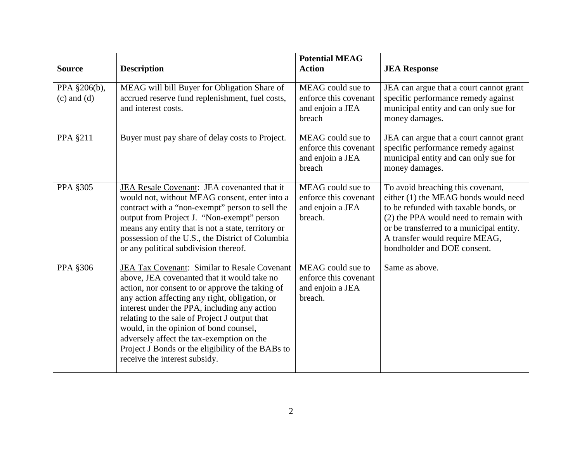| <b>Source</b>                   | <b>Description</b>                                                                                                                                                                                                                                                                                                                                                                                                                                                             | <b>Potential MEAG</b><br><b>Action</b>                                    | <b>JEA Response</b>                                                                                                                                                                                                                                                      |
|---------------------------------|--------------------------------------------------------------------------------------------------------------------------------------------------------------------------------------------------------------------------------------------------------------------------------------------------------------------------------------------------------------------------------------------------------------------------------------------------------------------------------|---------------------------------------------------------------------------|--------------------------------------------------------------------------------------------------------------------------------------------------------------------------------------------------------------------------------------------------------------------------|
| PPA §206(b),<br>$(c)$ and $(d)$ | MEAG will bill Buyer for Obligation Share of<br>accrued reserve fund replenishment, fuel costs,<br>and interest costs.                                                                                                                                                                                                                                                                                                                                                         | MEAG could sue to<br>enforce this covenant<br>and enjoin a JEA<br>breach  | JEA can argue that a court cannot grant<br>specific performance remedy against<br>municipal entity and can only sue for<br>money damages.                                                                                                                                |
| PPA §211                        | Buyer must pay share of delay costs to Project.                                                                                                                                                                                                                                                                                                                                                                                                                                | MEAG could sue to<br>enforce this covenant<br>and enjoin a JEA<br>breach  | JEA can argue that a court cannot grant<br>specific performance remedy against<br>municipal entity and can only sue for<br>money damages.                                                                                                                                |
| PPA §305                        | JEA Resale Covenant: JEA covenanted that it<br>would not, without MEAG consent, enter into a<br>contract with a "non-exempt" person to sell the<br>output from Project J. "Non-exempt" person<br>means any entity that is not a state, territory or<br>possession of the U.S., the District of Columbia<br>or any political subdivision thereof.                                                                                                                               | MEAG could sue to<br>enforce this covenant<br>and enjoin a JEA<br>breach. | To avoid breaching this covenant,<br>either (1) the MEAG bonds would need<br>to be refunded with taxable bonds, or<br>(2) the PPA would need to remain with<br>or be transferred to a municipal entity.<br>A transfer would require MEAG,<br>bondholder and DOE consent. |
| PPA §306                        | JEA Tax Covenant: Similar to Resale Covenant<br>above, JEA covenanted that it would take no<br>action, nor consent to or approve the taking of<br>any action affecting any right, obligation, or<br>interest under the PPA, including any action<br>relating to the sale of Project J output that<br>would, in the opinion of bond counsel,<br>adversely affect the tax-exemption on the<br>Project J Bonds or the eligibility of the BABs to<br>receive the interest subsidy. | MEAG could sue to<br>enforce this covenant<br>and enjoin a JEA<br>breach. | Same as above.                                                                                                                                                                                                                                                           |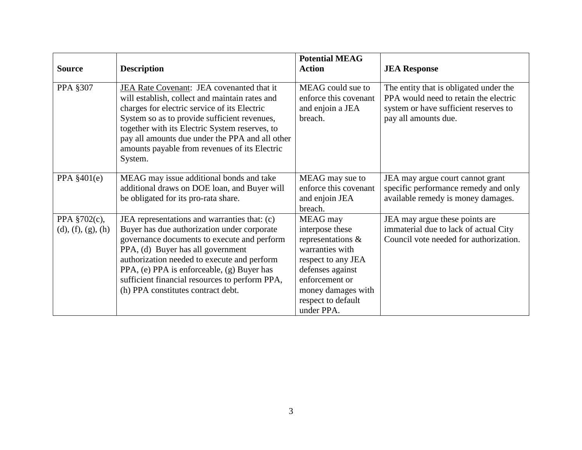| <b>Source</b>                      | <b>Description</b>                                                                                                                                                                                                                                                                                                                                                   | <b>Potential MEAG</b><br><b>Action</b>                                                                                                                                                    | <b>JEA Response</b>                                                                                                                              |
|------------------------------------|----------------------------------------------------------------------------------------------------------------------------------------------------------------------------------------------------------------------------------------------------------------------------------------------------------------------------------------------------------------------|-------------------------------------------------------------------------------------------------------------------------------------------------------------------------------------------|--------------------------------------------------------------------------------------------------------------------------------------------------|
| <b>PPA §307</b>                    | JEA Rate Covenant: JEA covenanted that it<br>will establish, collect and maintain rates and<br>charges for electric service of its Electric<br>System so as to provide sufficient revenues,<br>together with its Electric System reserves, to<br>pay all amounts due under the PPA and all other<br>amounts payable from revenues of its Electric<br>System.         | MEAG could sue to<br>enforce this covenant<br>and enjoin a JEA<br>breach.                                                                                                                 | The entity that is obligated under the<br>PPA would need to retain the electric<br>system or have sufficient reserves to<br>pay all amounts due. |
| PPA $§401(e)$                      | MEAG may issue additional bonds and take<br>additional draws on DOE loan, and Buyer will<br>be obligated for its pro-rata share.                                                                                                                                                                                                                                     | MEAG may sue to<br>enforce this covenant<br>and enjoin JEA<br>breach.                                                                                                                     | JEA may argue court cannot grant<br>specific performance remedy and only<br>available remedy is money damages.                                   |
| PPA §702(c),<br>(d), (f), (g), (h) | JEA representations and warranties that: (c)<br>Buyer has due authorization under corporate<br>governance documents to execute and perform<br>PPA, (d) Buyer has all government<br>authorization needed to execute and perform<br>PPA, (e) PPA is enforceable, (g) Buyer has<br>sufficient financial resources to perform PPA,<br>(h) PPA constitutes contract debt. | MEAG may<br>interpose these<br>representations &<br>warranties with<br>respect to any JEA<br>defenses against<br>enforcement or<br>money damages with<br>respect to default<br>under PPA. | JEA may argue these points are<br>immaterial due to lack of actual City<br>Council vote needed for authorization.                                |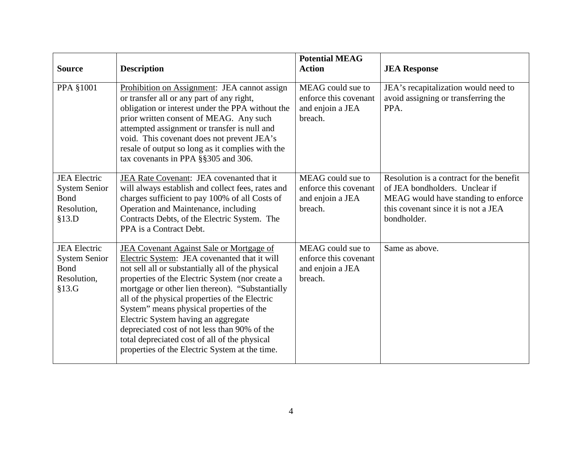| <b>Source</b>                                                               | <b>Description</b>                                                                                                                                                                                                                                                                                                                                                                                                                                                                                                                          | <b>Potential MEAG</b><br><b>Action</b>                                    | <b>JEA Response</b>                                                                                                                                                     |
|-----------------------------------------------------------------------------|---------------------------------------------------------------------------------------------------------------------------------------------------------------------------------------------------------------------------------------------------------------------------------------------------------------------------------------------------------------------------------------------------------------------------------------------------------------------------------------------------------------------------------------------|---------------------------------------------------------------------------|-------------------------------------------------------------------------------------------------------------------------------------------------------------------------|
| PPA §1001                                                                   | Prohibition on Assignment: JEA cannot assign<br>or transfer all or any part of any right,<br>obligation or interest under the PPA without the<br>prior written consent of MEAG. Any such<br>attempted assignment or transfer is null and<br>void. This covenant does not prevent JEA's<br>resale of output so long as it complies with the<br>tax covenants in PPA §§305 and 306.                                                                                                                                                           | MEAG could sue to<br>enforce this covenant<br>and enjoin a JEA<br>breach. | JEA's recapitalization would need to<br>avoid assigning or transferring the<br>PPA.                                                                                     |
| <b>JEA</b> Electric<br><b>System Senior</b><br>Bond<br>Resolution,<br>§13.D | JEA Rate Covenant: JEA covenanted that it<br>will always establish and collect fees, rates and<br>charges sufficient to pay 100% of all Costs of<br>Operation and Maintenance, including<br>Contracts Debts, of the Electric System. The<br>PPA is a Contract Debt.                                                                                                                                                                                                                                                                         | MEAG could sue to<br>enforce this covenant<br>and enjoin a JEA<br>breach. | Resolution is a contract for the benefit<br>of JEA bondholders. Unclear if<br>MEAG would have standing to enforce<br>this covenant since it is not a JEA<br>bondholder. |
| <b>JEA Electric</b><br><b>System Senior</b><br>Bond<br>Resolution,<br>§13.G | JEA Covenant Against Sale or Mortgage of<br>Electric System: JEA covenanted that it will<br>not sell all or substantially all of the physical<br>properties of the Electric System (nor create a<br>mortgage or other lien thereon). "Substantially<br>all of the physical properties of the Electric<br>System" means physical properties of the<br>Electric System having an aggregate<br>depreciated cost of not less than 90% of the<br>total depreciated cost of all of the physical<br>properties of the Electric System at the time. | MEAG could sue to<br>enforce this covenant<br>and enjoin a JEA<br>breach. | Same as above.                                                                                                                                                          |